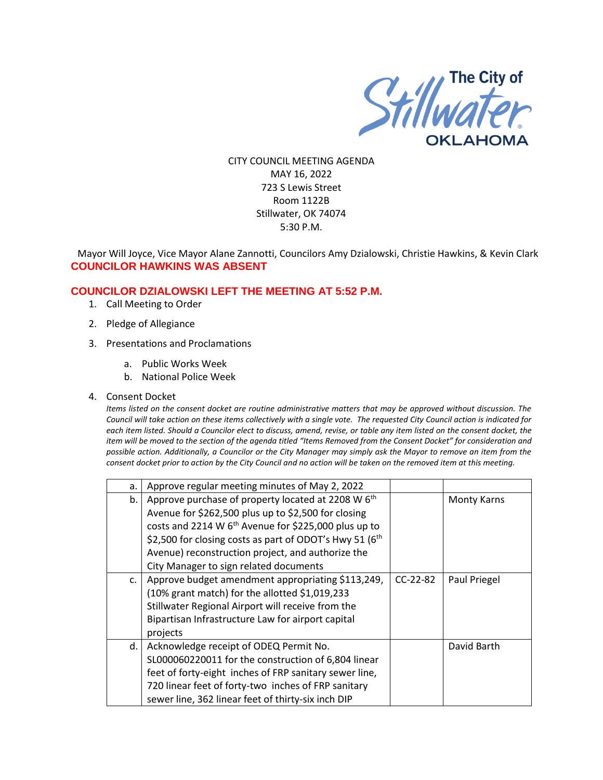

CITY COUNCIL MEETING AGENDA MAY 16, 2022 723 S Lewis Street Room 1122B Stillwater, OK 74074 5:30 P.M.

Mayor Will Joyce, Vice Mayor Alane Zannotti, Councilors Amy Dzialowski, Christie Hawkins, & Kevin Clark **COUNCILOR HAWKINS WAS ABSENT**

### **COUNCILOR DZIALOWSKI LEFT THE MEETING AT 5:52 P.M.**

- 1. Call Meeting to Order
- 2. Pledge of Allegiance
- 3. Presentations and Proclamations
	- a. Public Works Week
	- b. National Police Week
- 4. Consent Docket

*Items listed on the consent docket are routine administrative matters that may be approved without discussion. The Council will take action on these items collectively with a single vote. The requested City Council action is indicated for each item listed. Should a Councilor elect to discuss, amend, revise, or table any item listed on the consent docket, the item will be moved to the section of the agenda titled "Items Removed from the Consent Docket" for consideration and possible action. Additionally, a Councilor or the City Manager may simply ask the Mayor to remove an item from the consent docket prior to action by the City Council and no action will be taken on the removed item at this meeting.*

| a. | Approve regular meeting minutes of May 2, 2022                        |            |                    |
|----|-----------------------------------------------------------------------|------------|--------------------|
| b. | Approve purchase of property located at 2208 W 6 <sup>th</sup>        |            | <b>Monty Karns</b> |
|    | Avenue for \$262,500 plus up to \$2,500 for closing                   |            |                    |
|    | costs and 2214 W 6 <sup>th</sup> Avenue for \$225,000 plus up to      |            |                    |
|    | \$2,500 for closing costs as part of ODOT's Hwy 51 (6 <sup>th</sup> ) |            |                    |
|    | Avenue) reconstruction project, and authorize the                     |            |                    |
|    | City Manager to sign related documents                                |            |                    |
| C. | Approve budget amendment appropriating \$113,249,                     | $CC-22-82$ | Paul Priegel       |
|    | (10% grant match) for the allotted \$1,019,233                        |            |                    |
|    | Stillwater Regional Airport will receive from the                     |            |                    |
|    | Bipartisan Infrastructure Law for airport capital                     |            |                    |
|    | projects                                                              |            |                    |
| d. | Acknowledge receipt of ODEQ Permit No.                                |            | David Barth        |
|    | SL000060220011 for the construction of 6,804 linear                   |            |                    |
|    | feet of forty-eight inches of FRP sanitary sewer line,                |            |                    |
|    | 720 linear feet of forty-two inches of FRP sanitary                   |            |                    |
|    | sewer line, 362 linear feet of thirty-six inch DIP                    |            |                    |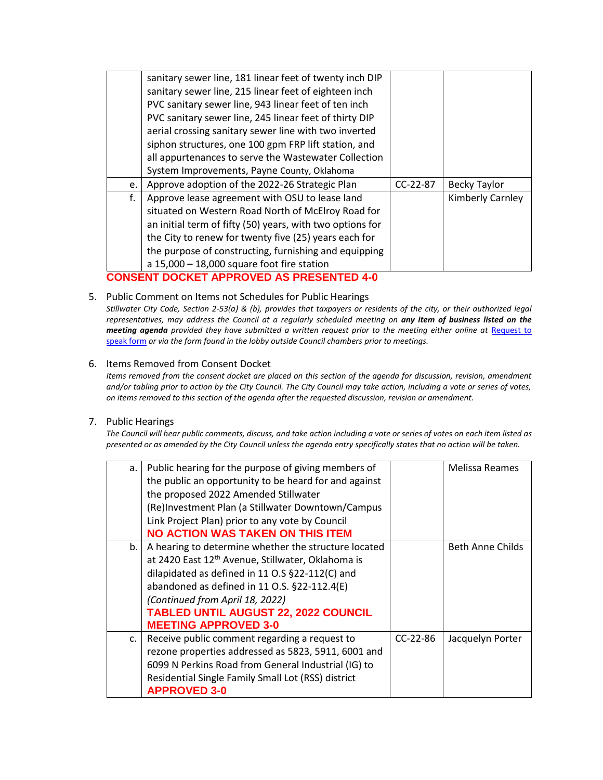|    | sanitary sewer line, 181 linear feet of twenty inch DIP<br>sanitary sewer line, 215 linear feet of eighteen inch<br>PVC sanitary sewer line, 943 linear feet of ten inch<br>PVC sanitary sewer line, 245 linear feet of thirty DIP<br>aerial crossing sanitary sewer line with two inverted                                         |            |                     |
|----|-------------------------------------------------------------------------------------------------------------------------------------------------------------------------------------------------------------------------------------------------------------------------------------------------------------------------------------|------------|---------------------|
|    | siphon structures, one 100 gpm FRP lift station, and<br>all appurtenances to serve the Wastewater Collection<br>System Improvements, Payne County, Oklahoma                                                                                                                                                                         |            |                     |
| e. | Approve adoption of the 2022-26 Strategic Plan                                                                                                                                                                                                                                                                                      | $CC-22-87$ | <b>Becky Taylor</b> |
| f. | Approve lease agreement with OSU to lease land<br>situated on Western Road North of McElroy Road for<br>an initial term of fifty (50) years, with two options for<br>the City to renew for twenty five (25) years each for<br>the purpose of constructing, furnishing and equipping<br>a $15,000 - 18,000$ square foot fire station |            | Kimberly Carnley    |

# **CONSENT DOCKET APPROVED AS PRESENTED 4-0**

5. Public Comment on Items not Schedules for Public Hearings

*Stillwater City Code, Section 2-53(a) & (b), provides that taxpayers or residents of the city, or their authorized legal representatives, may address the Council at a regularly scheduled meeting on any item of business listed on the meeting agenda provided they have submitted a written request prior to the meeting either online at Request to* [speak form](http://stillwater.org/page/home/government/mayor-city-council/meetings-agendas-minutes/online-request-to-speak-at-city-council) *or via the form found in the lobby outside Council chambers prior to meetings.*

#### 6. Items Removed from Consent Docket

*Items removed from the consent docket are placed on this section of the agenda for discussion, revision, amendment and/or tabling prior to action by the City Council. The City Council may take action, including a vote or series of votes, on items removed to this section of the agenda after the requested discussion, revision or amendment.*

#### 7. Public Hearings

*The Council will hear public comments, discuss, and take action including a vote or series of votes on each item listed as presented or as amended by the City Council unless the agenda entry specifically states that no action will be taken.*

| a.             | Public hearing for the purpose of giving members of           |            | Melissa Reames   |
|----------------|---------------------------------------------------------------|------------|------------------|
|                | the public an opportunity to be heard for and against         |            |                  |
|                | the proposed 2022 Amended Stillwater                          |            |                  |
|                | (Re)Investment Plan (a Stillwater Downtown/Campus             |            |                  |
|                | Link Project Plan) prior to any vote by Council               |            |                  |
|                | <b>NO ACTION WAS TAKEN ON THIS ITEM</b>                       |            |                  |
| b.             | A hearing to determine whether the structure located          |            | Beth Anne Childs |
|                | at 2420 East 12 <sup>th</sup> Avenue, Stillwater, Oklahoma is |            |                  |
|                | dilapidated as defined in 11 O.S §22-112(C) and               |            |                  |
|                | abandoned as defined in 11 O.S. §22-112.4(E)                  |            |                  |
|                | (Continued from April 18, 2022)                               |            |                  |
|                | <b>TABLED UNTIL AUGUST 22, 2022 COUNCIL</b>                   |            |                  |
|                | <b>MEETING APPROVED 3-0</b>                                   |            |                  |
| $\mathsf{C}$ . | Receive public comment regarding a request to                 | $CC-22-86$ | Jacquelyn Porter |
|                | rezone properties addressed as 5823, 5911, 6001 and           |            |                  |
|                | 6099 N Perkins Road from General Industrial (IG) to           |            |                  |
|                | Residential Single Family Small Lot (RSS) district            |            |                  |
|                | <b>APPROVED 3-0</b>                                           |            |                  |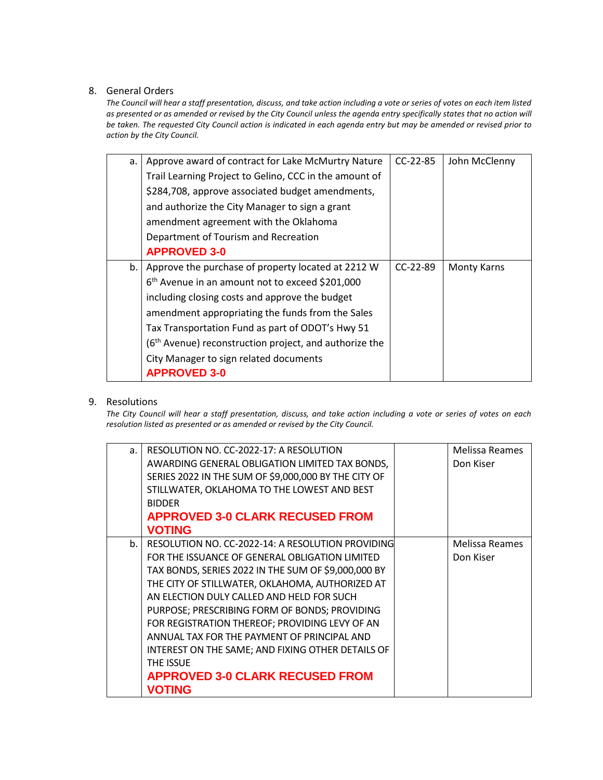### 8. General Orders

*The Council will hear a staff presentation, discuss, and take action including a vote or series of votes on each item listed as presented or as amended or revised by the City Council unless the agenda entry specifically states that no action will be taken. The requested City Council action is indicated in each agenda entry but may be amended or revised prior to action by the City Council.* 

| a. | Approve award of contract for Lake McMurtry Nature                 | $CC-22-85$ | John McClenny |
|----|--------------------------------------------------------------------|------------|---------------|
|    | Trail Learning Project to Gelino, CCC in the amount of             |            |               |
|    | \$284,708, approve associated budget amendments,                   |            |               |
|    | and authorize the City Manager to sign a grant                     |            |               |
|    | amendment agreement with the Oklahoma                              |            |               |
|    | Department of Tourism and Recreation                               |            |               |
|    | <b>APPROVED 3-0</b>                                                |            |               |
| b. | Approve the purchase of property located at 2212 W                 | $CC-22-89$ | Monty Karns   |
|    | 6 <sup>th</sup> Avenue in an amount not to exceed \$201,000        |            |               |
|    | including closing costs and approve the budget                     |            |               |
|    | amendment appropriating the funds from the Sales                   |            |               |
|    | Tax Transportation Fund as part of ODOT's Hwy 51                   |            |               |
|    | (6 <sup>th</sup> Avenue) reconstruction project, and authorize the |            |               |
|    | City Manager to sign related documents                             |            |               |
|    | <b>APPROVED 3-0</b>                                                |            |               |

### 9. Resolutions

*The City Council will hear a staff presentation, discuss, and take action including a vote or series of votes on each resolution listed as presented or as amended or revised by the City Council.* 

| a. | RESOLUTION NO. CC-2022-17: A RESOLUTION              | Melissa Reames |
|----|------------------------------------------------------|----------------|
|    | AWARDING GENERAL OBLIGATION LIMITED TAX BONDS,       | Don Kiser      |
|    | SERIES 2022 IN THE SUM OF \$9,000,000 BY THE CITY OF |                |
|    | STILLWATER, OKLAHOMA TO THE LOWEST AND BEST          |                |
|    | <b>BIDDER</b>                                        |                |
|    | <b>APPROVED 3-0 CLARK RECUSED FROM</b>               |                |
|    | <b>VOTING</b>                                        |                |
| b. | RESOLUTION NO. CC-2022-14: A RESOLUTION PROVIDING    | Melissa Reames |
|    | FOR THE ISSUANCE OF GENERAL OBLIGATION LIMITED       | Don Kiser      |
|    | TAX BONDS, SERIES 2022 IN THE SUM OF \$9,000,000 BY  |                |
|    | THE CITY OF STILLWATER, OKLAHOMA, AUTHORIZED AT      |                |
|    | AN ELECTION DULY CALLED AND HELD FOR SUCH            |                |
|    | PURPOSE; PRESCRIBING FORM OF BONDS; PROVIDING        |                |
|    | FOR REGISTRATION THEREOF; PROVIDING LEVY OF AN       |                |
|    | ANNUAL TAX FOR THE PAYMENT OF PRINCIPAL AND          |                |
|    | INTEREST ON THE SAME; AND FIXING OTHER DETAILS OF    |                |
|    | THE ISSUE                                            |                |
|    | <b>APPROVED 3-0 CLARK RECUSED FROM</b>               |                |
|    | <b>VOTING</b>                                        |                |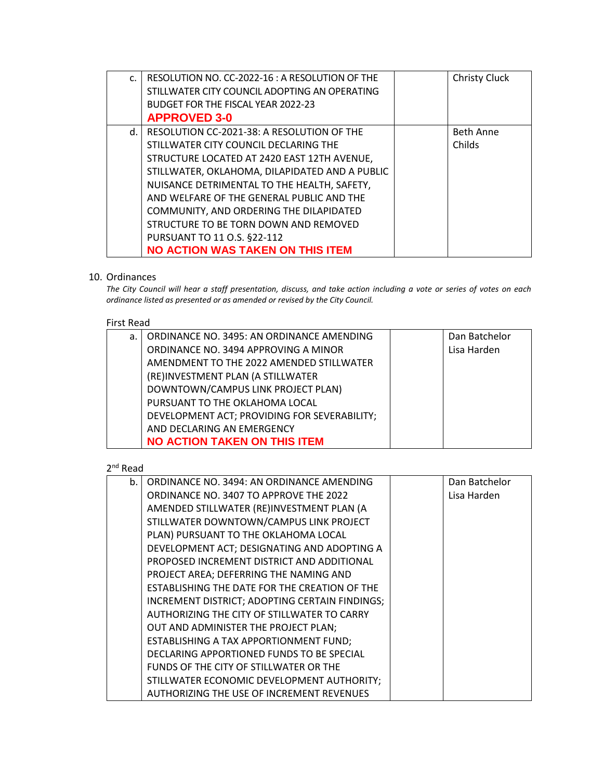| $\mathsf{C}$ | RESOLUTION NO. CC-2022-16: A RESOLUTION OF THE | <b>Christy Cluck</b> |
|--------------|------------------------------------------------|----------------------|
|              | STILLWATER CITY COUNCIL ADOPTING AN OPERATING  |                      |
|              | BUDGET FOR THE FISCAL YEAR 2022-23             |                      |
|              | <b>APPROVED 3-0</b>                            |                      |
| d.           | RESOLUTION CC-2021-38: A RESOLUTION OF THE     | <b>Beth Anne</b>     |
|              | STILLWATER CITY COUNCIL DECLARING THE          | Childs               |
|              | STRUCTURE LOCATED AT 2420 EAST 12TH AVENUE,    |                      |
|              | STILLWATER, OKLAHOMA, DILAPIDATED AND A PUBLIC |                      |
|              | NUISANCE DETRIMENTAL TO THE HEALTH, SAFETY,    |                      |
|              | AND WELFARE OF THE GENERAL PUBLIC AND THE      |                      |
|              | COMMUNITY, AND ORDERING THE DILAPIDATED        |                      |
|              | STRUCTURE TO BE TORN DOWN AND REMOVED          |                      |
|              | PURSUANT TO 11 O.S. §22-112                    |                      |
|              | <b>NO ACTION WAS TAKEN ON THIS ITEM</b>        |                      |

## 10. Ordinances

*The City Council will hear a staff presentation, discuss, and take action including a vote or series of votes on each ordinance listed as presented or as amended or revised by the City Council.*

#### First Read

| a.1 | ORDINANCE NO. 3495: AN ORDINANCE AMENDING    | Dan Batchelor |
|-----|----------------------------------------------|---------------|
|     | ORDINANCE NO. 3494 APPROVING A MINOR         | Lisa Harden   |
|     | AMENDMENT TO THE 2022 AMENDED STILLWATER     |               |
|     | (RE)INVESTMENT PLAN (A STILLWATER            |               |
|     | DOWNTOWN/CAMPUS LINK PROJECT PLAN)           |               |
|     | PURSUANT TO THE OKLAHOMA LOCAL               |               |
|     | DEVELOPMENT ACT; PROVIDING FOR SEVERABILITY; |               |
|     | AND DECLARING AN EMERGENCY                   |               |
|     | <b>NO ACTION TAKEN ON THIS ITEM</b>          |               |

2<sup>nd</sup> Read

| b. | ORDINANCE NO. 3494: AN ORDINANCE AMENDING      | Dan Batchelor |
|----|------------------------------------------------|---------------|
|    | ORDINANCE NO. 3407 TO APPROVE THE 2022         | Lisa Harden   |
|    | AMENDED STILLWATER (RE)INVESTMENT PLAN (A      |               |
|    | STILLWATER DOWNTOWN/CAMPUS LINK PROJECT        |               |
|    | PLAN) PURSUANT TO THE OKLAHOMA LOCAL           |               |
|    | DEVELOPMENT ACT; DESIGNATING AND ADOPTING A    |               |
|    | PROPOSED INCREMENT DISTRICT AND ADDITIONAL     |               |
|    | PROJECT AREA; DEFERRING THE NAMING AND         |               |
|    | ESTABLISHING THE DATE FOR THE CREATION OF THE  |               |
|    | INCREMENT DISTRICT; ADOPTING CERTAIN FINDINGS; |               |
|    | AUTHORIZING THE CITY OF STILLWATER TO CARRY    |               |
|    | OUT AND ADMINISTER THE PROJECT PLAN;           |               |
|    | ESTABLISHING A TAX APPORTIONMENT FUND;         |               |
|    | DECLARING APPORTIONED FUNDS TO BE SPECIAL      |               |
|    | FUNDS OF THE CITY OF STILLWATER OR THE         |               |
|    | STILLWATER ECONOMIC DEVELOPMENT AUTHORITY;     |               |
|    | AUTHORIZING THE USE OF INCREMENT REVENUES      |               |
|    |                                                |               |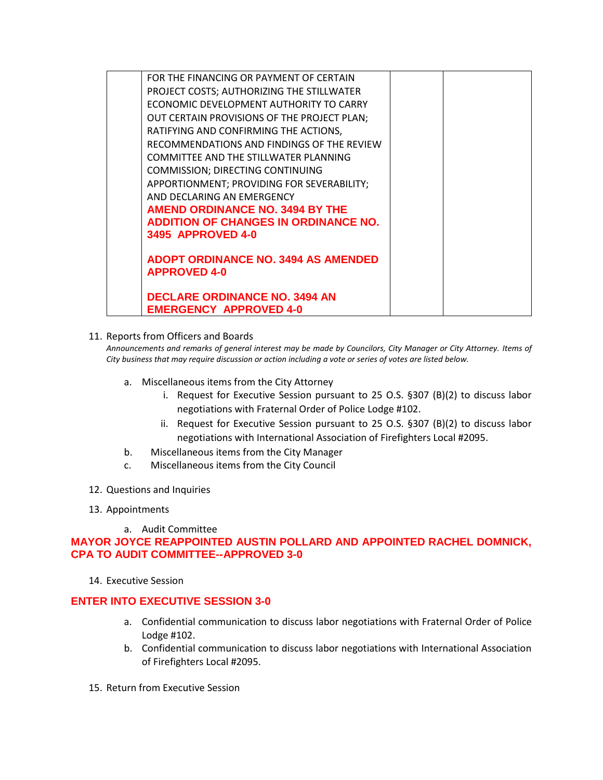| FOR THE FINANCING OR PAYMENT OF CERTAIN     |  |
|---------------------------------------------|--|
| PROJECT COSTS; AUTHORIZING THE STILLWATER   |  |
| ECONOMIC DEVELOPMENT AUTHORITY TO CARRY     |  |
| OUT CERTAIN PROVISIONS OF THE PROJECT PLAN; |  |
| RATIFYING AND CONFIRMING THE ACTIONS,       |  |
| RECOMMENDATIONS AND FINDINGS OF THE REVIEW  |  |
| COMMITTEE AND THE STILLWATER PLANNING       |  |
| <b>COMMISSION; DIRECTING CONTINUING</b>     |  |
| APPORTIONMENT; PROVIDING FOR SEVERABILITY;  |  |
| AND DECLARING AN EMERGENCY                  |  |
| AMEND ORDINANCE NO. 3494 BY THE             |  |
| <b>ADDITION OF CHANGES IN ORDINANCE NO.</b> |  |
| <b>3495 APPROVED 4-0</b>                    |  |
|                                             |  |
| <b>ADOPT ORDINANCE NO. 3494 AS AMENDED</b>  |  |
| <b>APPROVED 4-0</b>                         |  |
| <b>DECLARE ORDINANCE NO. 3494 AN</b>        |  |
| <b>EMERGENCY APPROVED 4-0</b>               |  |
|                                             |  |

11. Reports from Officers and Boards

*Announcements and remarks of general interest may be made by Councilors, City Manager or City Attorney. Items of City business that may require discussion or action including a vote or series of votes are listed below.*

- a. Miscellaneous items from the City Attorney
	- i. Request for Executive Session pursuant to 25 O.S. §307 (B)(2) to discuss labor negotiations with Fraternal Order of Police Lodge #102.
	- ii. Request for Executive Session pursuant to 25 O.S. §307 (B)(2) to discuss labor negotiations with International Association of Firefighters Local #2095.
- b. Miscellaneous items from the City Manager
- c. Miscellaneous items from the City Council
- 12. Questions and Inquiries
- 13. Appointments
	- a. Audit Committee

**MAYOR JOYCE REAPPOINTED AUSTIN POLLARD AND APPOINTED RACHEL DOMNICK, CPA TO AUDIT COMMITTEE--APPROVED 3-0**

14. Executive Session

### **ENTER INTO EXECUTIVE SESSION 3-0**

- a. Confidential communication to discuss labor negotiations with Fraternal Order of Police Lodge #102.
- b. Confidential communication to discuss labor negotiations with International Association of Firefighters Local #2095.
- 15. Return from Executive Session